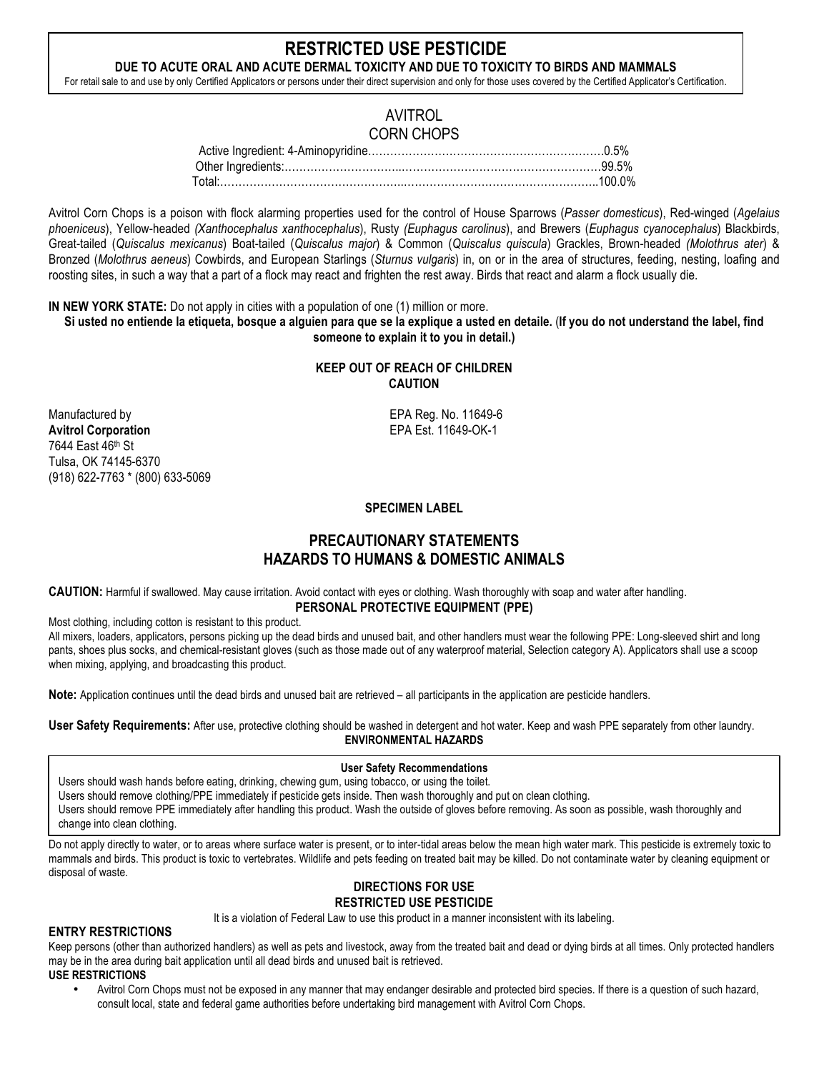# **RESTRICTED USE PESTICIDE**

**DUE TO ACUTE ORAL AND ACUTE DERMAL TOXICITY AND DUE TO TOXICITY TO BIRDS AND MAMMALS** For retail sale to and use by only Certified Applicators or persons under their direct supervision and only for those uses covered by the Certified Applicator's Certification.

## AVITROL CORN CHOPS

| Total:……………………………………………………………………………………………100.0% |  |
|-------------------------------------------------|--|

Avitrol Corn Chops is a poison with flock alarming properties used for the control of House Sparrows (*Passer domesticus*), Red-winged (*Agelaius phoeniceus*), Yellow-headed *(Xanthocephalus xanthocephalus*), Rusty *(Euphagus carolinus*), and Brewers (*Euphagus cyanocephalus*) Blackbirds, Great-tailed (*Quiscalus mexicanus*) Boat-tailed (*Quiscalus major*) & Common (*Quiscalus quiscula*) Grackles, Brown-headed *(Molothrus ater*) & Bronzed (*Molothrus aeneus*) Cowbirds, and European Starlings (*Sturnus vulgaris*) in, on or in the area of structures, feeding, nesting, loafing and roosting sites, in such a way that a part of a flock may react and frighten the rest away. Birds that react and alarm a flock usually die.

**IN NEW YORK STATE:** Do not apply in cities with a population of one (1) million or more.

**Si usted no entiende la etiqueta, bosque a alguien para que se la explique a usted en detaile.** (**If you do not understand the label, find someone to explain it to you in detail.)**

### **KEEP OUT OF REACH OF CHILDREN CAUTION**

Manufactured by EPA Reg. No. 11649-6 **Avitrol Corporation** EPA Est. 11649-OK-1 7644 East 46th St Tulsa, OK 74145-6370 (918) 622-7763 \* (800) 633-5069

### **SPECIMEN LABEL**

# **PRECAUTIONARY STATEMENTS HAZARDS TO HUMANS & DOMESTIC ANIMALS**

**CAUTION:** Harmful if swallowed. May cause irritation. Avoid contact with eyes or clothing. Wash thoroughly with soap and water after handling. **PERSONAL PROTECTIVE EQUIPMENT (PPE)**

Most clothing, including cotton is resistant to this product.

All mixers, loaders, applicators, persons picking up the dead birds and unused bait, and other handlers must wear the following PPE: Long-sleeved shirt and long pants, shoes plus socks, and chemical-resistant gloves (such as those made out of any waterproof material, Selection category A). Applicators shall use a scoop when mixing, applying, and broadcasting this product.

**Note:** Application continues until the dead birds and unused bait are retrieved – all participants in the application are pesticide handlers.

**User Safety Requirements:** After use, protective clothing should be washed in detergent and hot water. Keep and wash PPE separately from other laundry. **ENVIRONMENTAL HAZARDS**

### **User Safety Recommendations**

Users should wash hands before eating, drinking, chewing gum, using tobacco, or using the toilet.

Users should remove clothing/PPE immediately if pesticide gets inside. Then wash thoroughly and put on clean clothing.

Users should remove PPE immediately after handling this product. Wash the outside of gloves before removing. As soon as possible, wash thoroughly and change into clean clothing.

Do not apply directly to water, or to areas where surface water is present, or to inter-tidal areas below the mean high water mark. This pesticide is extremely toxic to mammals and birds. This product is toxic to vertebrates. Wildlife and pets feeding on treated bait may be killed. Do not contaminate water by cleaning equipment or disposal of waste.

# **DIRECTIONS FOR USE**

# **RESTRICTED USE PESTICIDE**

It is a violation of Federal Law to use this product in a manner inconsistent with its labeling.

### **ENTRY RESTRICTIONS**

Keep persons (other than authorized handlers) as well as pets and livestock, away from the treated bait and dead or dying birds at all times. Only protected handlers may be in the area during bait application until all dead birds and unused bait is retrieved.

- **USE RESTRICTIONS**
	- Avitrol Corn Chops must not be exposed in any manner that may endanger desirable and protected bird species. If there is a question of such hazard, consult local, state and federal game authorities before undertaking bird management with Avitrol Corn Chops.